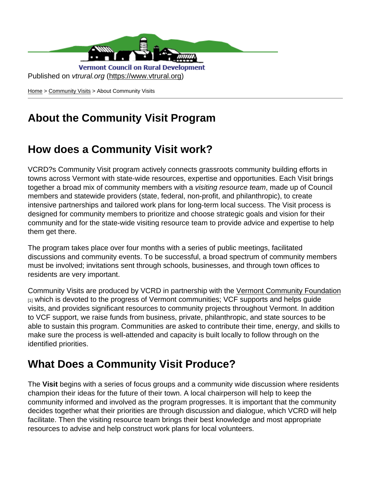

[Home](https://www.vtrural.org/) > [Community Visits](https://www.vtrural.org/programs/community-visits) > About Community Visits

## **About the Community Visit Program**

### **How does a Community Visit work?**

VCRD?s Community Visit program actively connects grassroots community building efforts in towns across Vermont with state-wide resources, expertise and opportunities. Each Visit brings together a broad mix of community members with a visiting resource team, made up of Council members and statewide providers (state, federal, non-profit, and philanthropic), to create intensive partnerships and tailored work plans for long-term local success. The Visit process is designed for community members to prioritize and choose strategic goals and vision for their community and for the state-wide visiting resource team to provide advice and expertise to help them get there.

The program takes place over four months with a series of public meetings, facilitated discussions and community events. To be successful, a broad spectrum of community members must be involved; invitations sent through schools, businesses, and through town offices to residents are very important.

Community Visits are produced by VCRD in partnership with the [Vermont Community Foundation](https://www.vermontcf.org/Home.aspx) [1] which is devoted to the progress of Vermont communities; VCF supports and helps guide visits, and provides significant resources to community projects throughout Vermont. In addition to VCF support, we raise funds from business, private, philanthropic, and state sources to be able to sustain this program. Communities are asked to contribute their time, energy, and skills to make sure the process is well-attended and capacity is built locally to follow through on the identified priorities.

#### **What Does a Community Visit Produce?**

The **Visit** begins with a series of focus groups and a community wide discussion where residents champion their ideas for the future of their town. A local chairperson will help to keep the community informed and involved as the program progresses. It is important that the community decides together what their priorities are through discussion and dialogue, which VCRD will help facilitate. Then the visiting resource team brings their best knowledge and most appropriate resources to advise and help construct work plans for local volunteers.